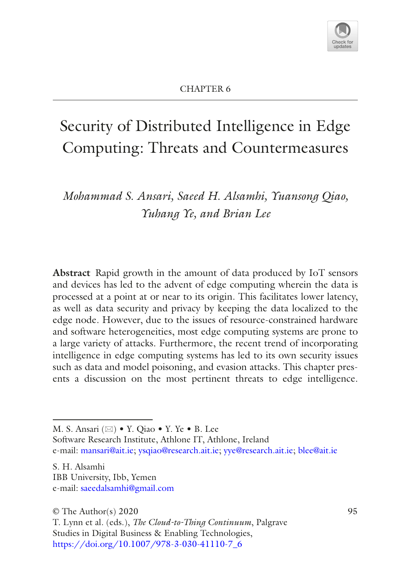

# Security of Distributed Intelligence in Edge Computing: Threats and Countermeasures

*Mohammad S. Ansari, Saeed H. Alsamhi, Yuansong Qiao, Yuhang Ye, and Brian Lee*

**Abstract** Rapid growth in the amount of data produced by IoT sensors and devices has led to the advent of edge computing wherein the data is processed at a point at or near to its origin. This facilitates lower latency, as well as data security and privacy by keeping the data localized to the edge node. However, due to the issues of resource-constrained hardware and software heterogeneities, most edge computing systems are prone to a large variety of attacks. Furthermore, the recent trend of incorporating intelligence in edge computing systems has led to its own security issues such as data and model poisoning, and evasion attacks. This chapter presents a discussion on the most pertinent threats to edge intelligence.

M. S. Ansari  $(\boxtimes) \bullet Y$ . Qiao  $\bullet Y$ . Ye  $\bullet B$ . Lee

Software Research Institute, Athlone IT, Athlone, Ireland e-mail: [mansari@ait.ie](mailto:mansari@ait.ie); [ysqiao@research.ait.ie;](mailto:ysqiao@research.ait.ie) [yye@research.ait.ie](mailto:yye@research.ait.ie); [blee@ait.ie](mailto:blee@ait.ie)

S. H. Alsamhi IBB University, Ibb, Yemen e-mail: [saeedalsamhi@gmail.com](mailto:saeedalsamhi@gmail.com)

 $\oslash$  The Author(s) 2020 95

T. Lynn et al. (eds.), *The Cloud-to-Thing Continuum*, Palgrave Studies in Digital Business & Enabling Technologies, [https://doi.org/10.1007/978-3-030-41110-7\\_6](https://doi.org/10.1007/978-3-030-41110-7_6#ESM)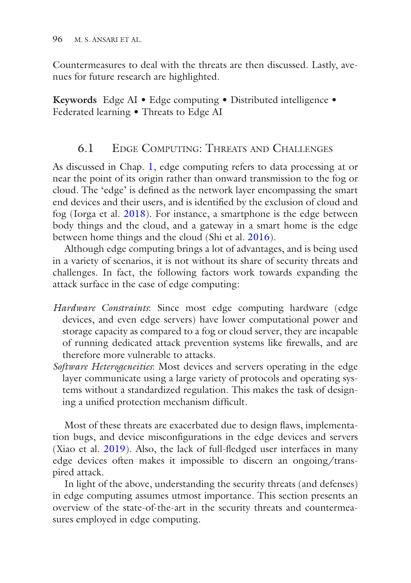Countermeasures to deal with the threats are then discussed. Lastly, avenues for future research are highlighted.

**Keywords** Edge AI • Edge computing • Distributed intelligence • Federated learning • Threats to Edge AI

# 6.1 Edge Computing: Threats and Challenges

As discussed in Chap. [1,](https://doi.org/10.1007/978-3-030-41110-7_1) edge computing refers to data processing at or near the point of its origin rather than onward transmission to the fog or cloud. The 'edge' is defined as the network layer encompassing the smart end devices and their users, and is identified by the exclusion of cloud and fog (Iorga et al. [2018\)](#page-24-0). For instance, a smartphone is the edge between body things and the cloud, and a gateway in a smart home is the edge between home things and the cloud (Shi et al. [2016](#page-26-0)).

Although edge computing brings a lot of advantages, and is being used in a variety of scenarios, it is not without its share of security threats and challenges. In fact, the following factors work towards expanding the attack surface in the case of edge computing:

- *Hardware Constraints*: Since most edge computing hardware (edge devices, and even edge servers) have lower computational power and storage capacity as compared to a fog or cloud server, they are incapable of running dedicated attack prevention systems like firewalls, and are therefore more vulnerable to attacks.
- *Software Heterogeneities*: Most devices and servers operating in the edge layer communicate using a large variety of protocols and operating systems without a standardized regulation. This makes the task of designing a unified protection mechanism difficult.

Most of these threats are exacerbated due to design flaws, implementation bugs, and device misconfigurations in the edge devices and servers (Xiao et al. [2019](#page-27-0)). Also, the lack of full-fledged user interfaces in many edge devices often makes it impossible to discern an ongoing/transpired attack.

In light of the above, understanding the security threats (and defenses) in edge computing assumes utmost importance. This section presents an overview of the state-of-the-art in the security threats and countermeasures employed in edge computing.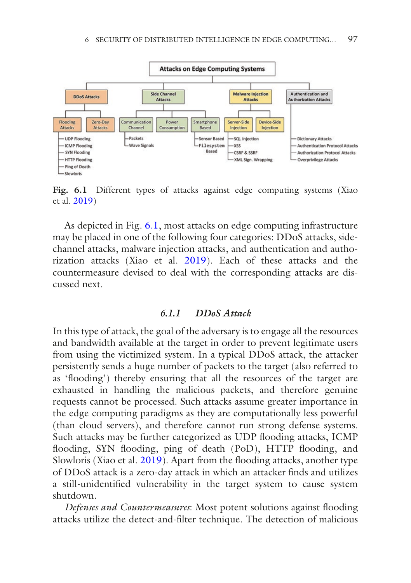<span id="page-2-0"></span>

Fig. 6.1 Different types of attacks against edge computing systems (Xiao et al. [2019](#page-27-0))

As depicted in Fig. [6.1,](#page-2-0) most attacks on edge computing infrastructure may be placed in one of the following four categories: DDoS attacks, sidechannel attacks, malware injection attacks, and authentication and authorization attacks (Xiao et al. [2019\)](#page-27-0). Each of these attacks and the countermeasure devised to deal with the corresponding attacks are discussed next.

#### *6.1.1 DDoS Attack*

In this type of attack, the goal of the adversary is to engage all the resources and bandwidth available at the target in order to prevent legitimate users from using the victimized system. In a typical DDoS attack, the attacker persistently sends a huge number of packets to the target (also referred to as 'flooding') thereby ensuring that all the resources of the target are exhausted in handling the malicious packets, and therefore genuine requests cannot be processed. Such attacks assume greater importance in the edge computing paradigms as they are computationally less powerful (than cloud servers), and therefore cannot run strong defense systems. Such attacks may be further categorized as UDP flooding attacks, ICMP flooding, SYN flooding, ping of death (PoD), HTTP flooding, and Slowloris (Xiao et al. [2019\)](#page-27-0). Apart from the flooding attacks, another type of DDoS attack is a zero-day attack in which an attacker finds and utilizes a still-unidentified vulnerability in the target system to cause system shutdown.

*Defenses and Countermeasures*: Most potent solutions against flooding attacks utilize the detect-and-filter technique. The detection of malicious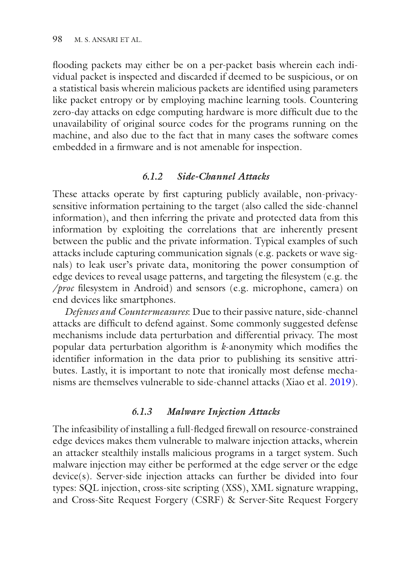flooding packets may either be on a per-packet basis wherein each individual packet is inspected and discarded if deemed to be suspicious, or on a statistical basis wherein malicious packets are identified using parameters like packet entropy or by employing machine learning tools. Countering zero-day attacks on edge computing hardware is more difficult due to the unavailability of original source codes for the programs running on the machine, and also due to the fact that in many cases the software comes embedded in a firmware and is not amenable for inspection.

#### *6.1.2 Side-Channel Attacks*

These attacks operate by first capturing publicly available, non-privacysensitive information pertaining to the target (also called the side-channel information), and then inferring the private and protected data from this information by exploiting the correlations that are inherently present between the public and the private information. Typical examples of such attacks include capturing communication signals (e.g. packets or wave signals) to leak user's private data, monitoring the power consumption of edge devices to reveal usage patterns, and targeting the filesystem (e.g. the */proc* filesystem in Android) and sensors (e.g. microphone, camera) on end devices like smartphones.

*Defenses and Countermeasures*: Due to their passive nature, side-channel attacks are difficult to defend against. Some commonly suggested defense mechanisms include data perturbation and differential privacy. The most popular data perturbation algorithm is *k*-anonymity which modifies the identifier information in the data prior to publishing its sensitive attributes. Lastly, it is important to note that ironically most defense mechanisms are themselves vulnerable to side-channel attacks (Xiao et al. [2019](#page-27-0)).

#### *6.1.3 Malware Injection Attacks*

The infeasibility of installing a full-fledged firewall on resource-constrained edge devices makes them vulnerable to malware injection attacks, wherein an attacker stealthily installs malicious programs in a target system. Such malware injection may either be performed at the edge server or the edge device(s). Server-side injection attacks can further be divided into four types: SQL injection, cross-site scripting (XSS), XML signature wrapping, and Cross-Site Request Forgery (CSRF) & Server-Site Request Forgery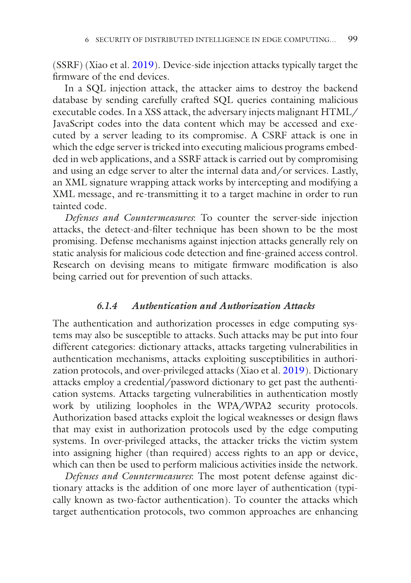(SSRF) (Xiao et al. [2019](#page-27-0)). Device-side injection attacks typically target the firmware of the end devices.

In a SQL injection attack, the attacker aims to destroy the backend database by sending carefully crafted SQL queries containing malicious executable codes. In a XSS attack, the adversary injects malignant HTML/ JavaScript codes into the data content which may be accessed and executed by a server leading to its compromise. A CSRF attack is one in which the edge server is tricked into executing malicious programs embedded in web applications, and a SSRF attack is carried out by compromising and using an edge server to alter the internal data and/or services. Lastly, an XML signature wrapping attack works by intercepting and modifying a XML message, and re-transmitting it to a target machine in order to run tainted code.

*Defenses and Countermeasures*: To counter the server-side injection attacks, the detect-and-filter technique has been shown to be the most promising. Defense mechanisms against injection attacks generally rely on static analysis for malicious code detection and fine-grained access control. Research on devising means to mitigate firmware modification is also being carried out for prevention of such attacks.

#### *6.1.4 Authentication and Authorization Attacks*

The authentication and authorization processes in edge computing systems may also be susceptible to attacks. Such attacks may be put into four different categories: dictionary attacks, attacks targeting vulnerabilities in authentication mechanisms, attacks exploiting susceptibilities in authorization protocols, and over-privileged attacks (Xiao et al. [2019](#page-27-0)). Dictionary attacks employ a credential/password dictionary to get past the authentication systems. Attacks targeting vulnerabilities in authentication mostly work by utilizing loopholes in the WPA/WPA2 security protocols. Authorization based attacks exploit the logical weaknesses or design flaws that may exist in authorization protocols used by the edge computing systems. In over-privileged attacks, the attacker tricks the victim system into assigning higher (than required) access rights to an app or device, which can then be used to perform malicious activities inside the network.

*Defenses and Countermeasures*: The most potent defense against dictionary attacks is the addition of one more layer of authentication (typically known as two-factor authentication). To counter the attacks which target authentication protocols, two common approaches are enhancing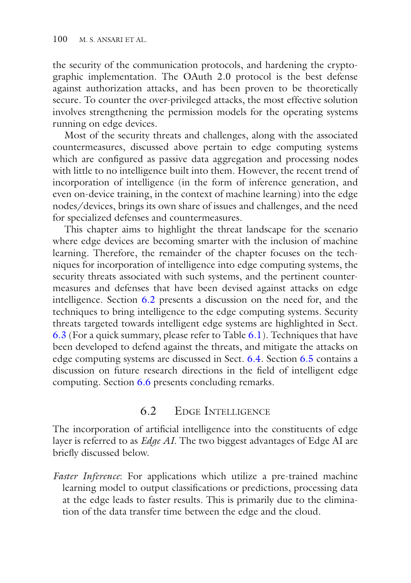the security of the communication protocols, and hardening the cryptographic implementation. The OAuth 2.0 protocol is the best defense against authorization attacks, and has been proven to be theoretically secure. To counter the over-privileged attacks, the most effective solution involves strengthening the permission models for the operating systems running on edge devices.

Most of the security threats and challenges, along with the associated countermeasures, discussed above pertain to edge computing systems which are configured as passive data aggregation and processing nodes with little to no intelligence built into them. However, the recent trend of incorporation of intelligence (in the form of inference generation, and even on-device training, in the context of machine learning) into the edge nodes/devices, brings its own share of issues and challenges, and the need for specialized defenses and countermeasures.

This chapter aims to highlight the threat landscape for the scenario where edge devices are becoming smarter with the inclusion of machine learning. Therefore, the remainder of the chapter focuses on the techniques for incorporation of intelligence into edge computing systems, the security threats associated with such systems, and the pertinent countermeasures and defenses that have been devised against attacks on edge intelligence. Section [6.2](#page-5-0) presents a discussion on the need for, and the techniques to bring intelligence to the edge computing systems. Security threats targeted towards intelligent edge systems are highlighted in Sect. [6.3](#page-11-0) (For a quick summary, please refer to Table [6.1\)](#page-6-0). Techniques that have been developed to defend against the threats, and mitigate the attacks on edge computing systems are discussed in Sect. [6.4.](#page-17-0) Section [6.5](#page-20-0) contains a discussion on future research directions in the field of intelligent edge computing. Section [6.6](#page-21-0) presents concluding remarks.

# <span id="page-5-0"></span>6.2 Edge Intelligence

The incorporation of artificial intelligence into the constituents of edge layer is referred to as *Edge AI*. The two biggest advantages of Edge AI are briefly discussed below.

*Faster Inference*: For applications which utilize a pre-trained machine learning model to output classifications or predictions, processing data at the edge leads to faster results. This is primarily due to the elimination of the data transfer time between the edge and the cloud.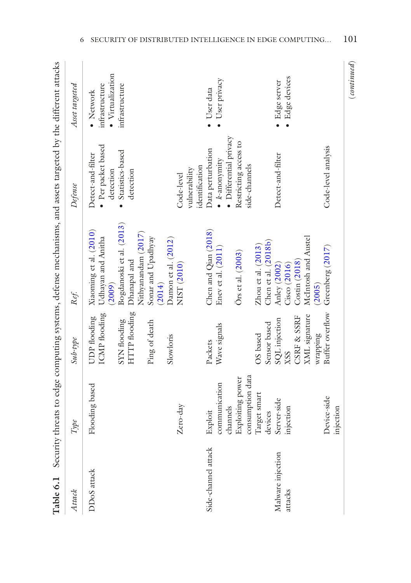| Attack                       | Type                                                                                         | $Sub-type$                                                                                   | Ref.                                                                                                                                                                             | Defense                                                                                                        | Asset targeted                                                    |
|------------------------------|----------------------------------------------------------------------------------------------|----------------------------------------------------------------------------------------------|----------------------------------------------------------------------------------------------------------------------------------------------------------------------------------|----------------------------------------------------------------------------------------------------------------|-------------------------------------------------------------------|
| DDoS attack                  | Flooding based                                                                               | HTTP flooding<br>ICMP flooding<br>UDP flooding<br>SYN flooding<br>Ping of death<br>Slowloris | Bogdanoski et al. (2013)<br>Xiaoming et al. (2010)<br>Nithyanandam (2017)<br>Udhayan and Anitha<br>Sonar and Upadhyay<br>Damon et al. (2012)<br>Dhanapal and<br>(2014)<br>(2009) | · Per packet based<br>· Statistics-based<br>Detect-and-filter<br>detection<br>detection                        | · Virtualization<br>infrastructure<br>infrastructure<br>· Network |
|                              | Zero-day                                                                                     |                                                                                              | NIST (2010)                                                                                                                                                                      | identification<br>vulnerability<br>Code-level                                                                  |                                                                   |
| Side-channel attack          | consumption data<br>Exploiting power<br>communication<br>Target smart<br>channels<br>Exploit | Wave signals<br>OS based<br>Packets                                                          | Chen and Qian (2018)<br>Zhou et al. $(2013)$<br>Enev et al. $(2011)$<br>Örs et al. (2003)                                                                                        | · Differential privacy<br>Restricting access to<br>Data perturbation<br>$\bullet$ k-anonymity<br>side-channels | User privacy<br>User data                                         |
| Malware injection<br>attacks | Server-side<br>injection<br>devices                                                          | XML signature<br>CSRF & SSRF<br>SQL injection<br>Sensor based<br><b>XSS</b>                  | McIntosh and Austel<br>Chen et al. (2018b)<br>Costin(2018)<br>Anley (2002)<br>Cisco(2016)                                                                                        | Detect-and-filter                                                                                              | · Edge devices<br>· Edge server                                   |
|                              | Device-side<br>injection                                                                     | wrapping                                                                                     | Buffer overflow Greenberg (2017)<br>(2005)                                                                                                                                       | Code-level analysis                                                                                            |                                                                   |

<span id="page-6-0"></span>Table 6.1 Security threats to edge computing systems, defense mechanisms, and assets targeted by the different attacks **Table 6.1** Security threats to edge computing systems, defense mechanisms, and assets targeted by the different attacks (*continued*)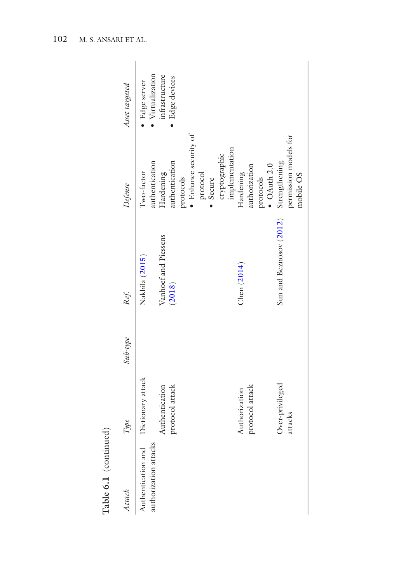| $\sim$                                      |                                   |            |                                |                                                    |                                  |
|---------------------------------------------|-----------------------------------|------------|--------------------------------|----------------------------------------------------|----------------------------------|
| Attack                                      | Type                              | $Sub-type$ | Ref.                           | Defense                                            | Asset targeted                   |
| authorization attacks<br>Authentication and | Dictionary attack                 |            | Nakhila (2015)                 | authentication<br>I'wo-factor                      | Virtualization<br>Edge server    |
|                                             | Authentication<br>protocol attack |            | Vanhoef and Piessens<br>(2018) | authentication<br>Hardening                        | infrastructure<br>· Edge devices |
|                                             |                                   |            |                                | $\blacksquare$<br>Enhance security of<br>protocols |                                  |
|                                             |                                   |            |                                | protocol<br>• Secure                               |                                  |
|                                             |                                   |            |                                | implementation<br>cryptographic                    |                                  |
|                                             | Authorization                     |            | Chen $(2014)$                  | Hardening                                          |                                  |
|                                             | protocol attack                   |            |                                | authorization                                      |                                  |
|                                             |                                   |            |                                | $\bullet$ OAuth 2.0<br>protocols                   |                                  |
|                                             | Over-privileged                   |            | Sun and Beznosov (2012)        | Strengthening                                      |                                  |
|                                             | attacks                           |            |                                | permission models for<br>mobile OS                 |                                  |

 ${\bf Table}$   ${\bf 6.1}$   $({\rm continued})$ **Table 6.1** (continued)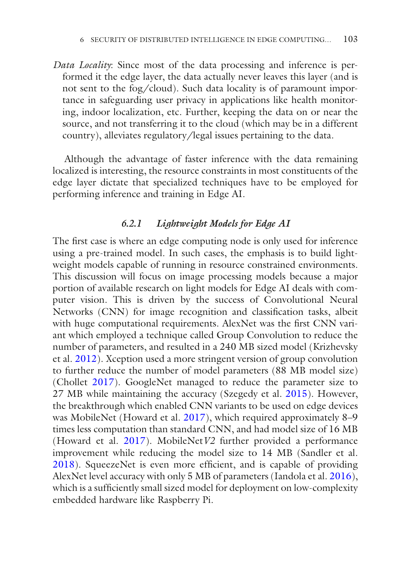*Data Locality*: Since most of the data processing and inference is performed it the edge layer, the data actually never leaves this layer (and is not sent to the fog/cloud). Such data locality is of paramount importance in safeguarding user privacy in applications like health monitoring, indoor localization, etc. Further, keeping the data on or near the source, and not transferring it to the cloud (which may be in a different country), alleviates regulatory/legal issues pertaining to the data.

Although the advantage of faster inference with the data remaining localized is interesting, the resource constraints in most constituents of the edge layer dictate that specialized techniques have to be employed for performing inference and training in Edge AI.

#### *6.2.1 Lightweight Models for Edge AI*

The first case is where an edge computing node is only used for inference using a pre-trained model. In such cases, the emphasis is to build lightweight models capable of running in resource constrained environments. This discussion will focus on image processing models because a major portion of available research on light models for Edge AI deals with computer vision. This is driven by the success of Convolutional Neural Networks (CNN) for image recognition and classification tasks, albeit with huge computational requirements. AlexNet was the first CNN variant which employed a technique called Group Convolution to reduce the number of parameters, and resulted in a 240 MB sized model (Krizhevsky et al. [2012](#page-25-4)). Xception used a more stringent version of group convolution to further reduce the number of model parameters (88 MB model size) (Chollet [2017\)](#page-23-5). GoogleNet managed to reduce the parameter size to 27 MB while maintaining the accuracy (Szegedy et al. [2015](#page-26-3)). However, the breakthrough which enabled CNN variants to be used on edge devices was MobileNet (Howard et al. [2017\)](#page-24-3), which required approximately 8–9 times less computation than standard CNN, and had model size of 16 MB (Howard et al. [2017\)](#page-24-3). MobileNet*V2* further provided a performance improvement while reducing the model size to 14 MB (Sandler et al. [2018](#page-26-4)). SqueezeNet is even more efficient, and is capable of providing AlexNet level accuracy with only 5 MB of parameters (Iandola et al. [2016](#page-24-4)), which is a sufficiently small sized model for deployment on low-complexity embedded hardware like Raspberry Pi.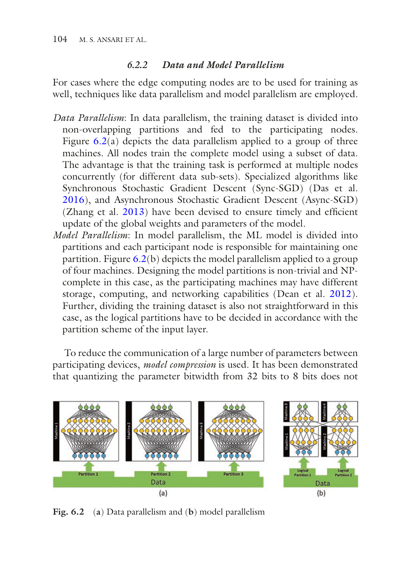# *6.2.2 Data and Model Parallelism*

For cases where the edge computing nodes are to be used for training as well, techniques like data parallelism and model parallelism are employed.

- *Data Parallelism*: In data parallelism, the training dataset is divided into non-overlapping partitions and fed to the participating nodes. Figure  $6.2(a)$  $6.2(a)$  depicts the data parallelism applied to a group of three machines. All nodes train the complete model using a subset of data. The advantage is that the training task is performed at multiple nodes concurrently (for different data sub-sets). Specialized algorithms like Synchronous Stochastic Gradient Descent (Sync-SGD) (Das et al. [2016](#page-23-6)), and Asynchronous Stochastic Gradient Descent (Async-SGD) (Zhang et al. [2013\)](#page-27-5) have been devised to ensure timely and efficient update of the global weights and parameters of the model.
- *Model Parallelism*: In model parallelism, the ML model is divided into partitions and each participant node is responsible for maintaining one partition. Figure  $6.2(b)$  depicts the model parallelism applied to a group of four machines. Designing the model partitions is non-trivial and NPcomplete in this case, as the participating machines may have different storage, computing, and networking capabilities (Dean et al. [2012](#page-23-7)). Further, dividing the training dataset is also not straightforward in this case, as the logical partitions have to be decided in accordance with the partition scheme of the input layer.

To reduce the communication of a large number of parameters between participating devices, *model compression* is used. It has been demonstrated that quantizing the parameter bitwidth from 32 bits to 8 bits does not

<span id="page-9-0"></span>

**Fig. 6.2** (**a**) Data parallelism and (**b**) model parallelism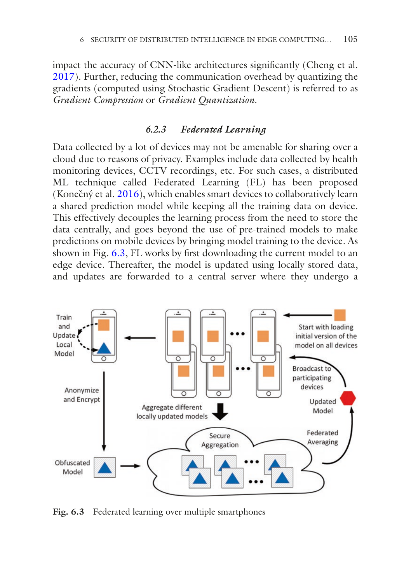impact the accuracy of CNN-like architectures significantly (Cheng et al. [2017](#page-23-8)). Further, reducing the communication overhead by quantizing the gradients (computed using Stochastic Gradient Descent) is referred to as *Gradient Compression* or *Gradient Quantization*.

#### *6.2.3 Federated Learning*

Data collected by a lot of devices may not be amenable for sharing over a cloud due to reasons of privacy. Examples include data collected by health monitoring devices, CCTV recordings, etc. For such cases, a distributed ML technique called Federated Learning (FL) has been proposed (Konečný et al. [2016](#page-24-5)), which enables smart devices to collaboratively learn a shared prediction model while keeping all the training data on device. This effectively decouples the learning process from the need to store the data centrally, and goes beyond the use of pre-trained models to make predictions on mobile devices by bringing model training to the device. As shown in Fig. [6.3,](#page-10-0) FL works by first downloading the current model to an edge device. Thereafter, the model is updated using locally stored data, and updates are forwarded to a central server where they undergo a

<span id="page-10-0"></span>

Fig. 6.3 Federated learning over multiple smartphones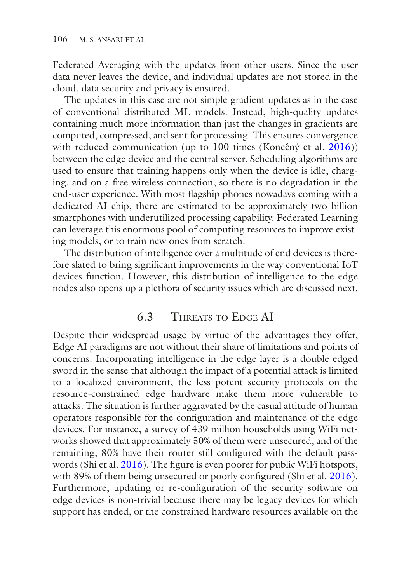Federated Averaging with the updates from other users. Since the user data never leaves the device, and individual updates are not stored in the cloud, data security and privacy is ensured.

The updates in this case are not simple gradient updates as in the case of conventional distributed ML models. Instead, high-quality updates containing much more information than just the changes in gradients are computed, compressed, and sent for processing. This ensures convergence with reduced communication (up to 100 times (Konečný et al. [2016](#page-24-5))) between the edge device and the central server. Scheduling algorithms are used to ensure that training happens only when the device is idle, charging, and on a free wireless connection, so there is no degradation in the end-user experience. With most flagship phones nowadays coming with a dedicated AI chip, there are estimated to be approximately two billion smartphones with underutilized processing capability. Federated Learning can leverage this enormous pool of computing resources to improve existing models, or to train new ones from scratch.

The distribution of intelligence over a multitude of end devices is therefore slated to bring significant improvements in the way conventional IoT devices function. However, this distribution of intelligence to the edge nodes also opens up a plethora of security issues which are discussed next.

# <span id="page-11-0"></span>6.3 THREATS TO EDGE AI

Despite their widespread usage by virtue of the advantages they offer, Edge AI paradigms are not without their share of limitations and points of concerns. Incorporating intelligence in the edge layer is a double edged sword in the sense that although the impact of a potential attack is limited to a localized environment, the less potent security protocols on the resource-constrained edge hardware make them more vulnerable to attacks. The situation is further aggravated by the casual attitude of human operators responsible for the configuration and maintenance of the edge devices. For instance, a survey of 439 million households using WiFi networks showed that approximately 50% of them were unsecured, and of the remaining, 80% have their router still configured with the default passwords (Shi et al. [2016\)](#page-26-0). The figure is even poorer for public WiFi hotspots, with 89% of them being unsecured or poorly configured (Shi et al. [2016](#page-26-0)). Furthermore, updating or re-configuration of the security software on edge devices is non-trivial because there may be legacy devices for which support has ended, or the constrained hardware resources available on the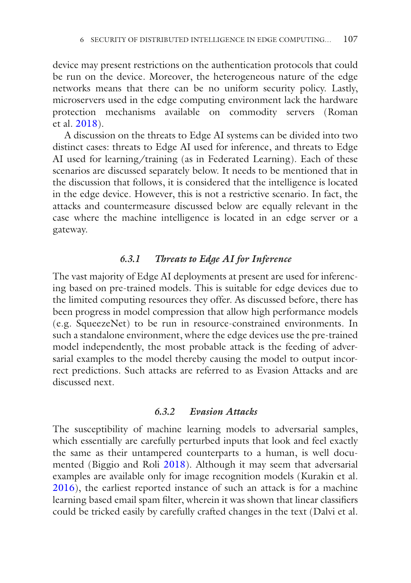device may present restrictions on the authentication protocols that could be run on the device. Moreover, the heterogeneous nature of the edge networks means that there can be no uniform security policy. Lastly, microservers used in the edge computing environment lack the hardware protection mechanisms available on commodity servers (Roman et al. [2018\)](#page-26-5).

A discussion on the threats to Edge AI systems can be divided into two distinct cases: threats to Edge AI used for inference, and threats to Edge AI used for learning/training (as in Federated Learning). Each of these scenarios are discussed separately below. It needs to be mentioned that in the discussion that follows, it is considered that the intelligence is located in the edge device. However, this is not a restrictive scenario. In fact, the attacks and countermeasure discussed below are equally relevant in the case where the machine intelligence is located in an edge server or a gateway.

#### *6.3.1 Threats to Edge AI for Inference*

The vast majority of Edge AI deployments at present are used for inferencing based on pre-trained models. This is suitable for edge devices due to the limited computing resources they offer. As discussed before, there has been progress in model compression that allow high performance models (e.g. SqueezeNet) to be run in resource-constrained environments. In such a standalone environment, where the edge devices use the pre-trained model independently, the most probable attack is the feeding of adversarial examples to the model thereby causing the model to output incorrect predictions. Such attacks are referred to as Evasion Attacks and are discussed next.

#### *6.3.2 Evasion Attacks*

The susceptibility of machine learning models to adversarial samples, which essentially are carefully perturbed inputs that look and feel exactly the same as their untampered counterparts to a human, is well documented (Biggio and Roli [2018\)](#page-22-4). Although it may seem that adversarial examples are available only for image recognition models (Kurakin et al. [2016](#page-25-5)), the earliest reported instance of such an attack is for a machine learning based email spam filter, wherein it was shown that linear classifiers could be tricked easily by carefully crafted changes in the text (Dalvi et al.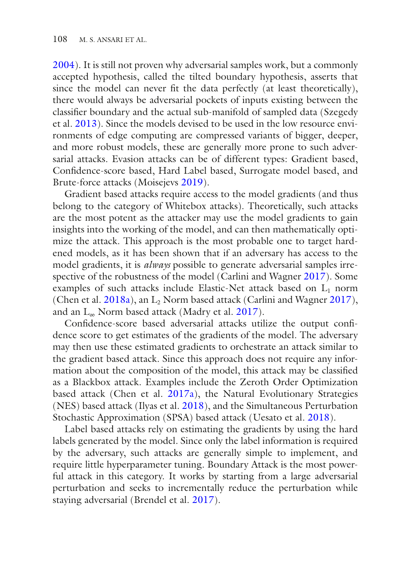[2004](#page-23-9)). It is still not proven why adversarial samples work, but a commonly accepted hypothesis, called the tilted boundary hypothesis, asserts that since the model can never fit the data perfectly (at least theoretically), there would always be adversarial pockets of inputs existing between the classifier boundary and the actual sub-manifold of sampled data (Szegedy et al. [2013](#page-26-6)). Since the models devised to be used in the low resource environments of edge computing are compressed variants of bigger, deeper, and more robust models, these are generally more prone to such adversarial attacks. Evasion attacks can be of different types: Gradient based, Confidence-score based, Hard Label based, Surrogate model based, and Brute-force attacks (Moisejevs [2019](#page-25-6)).

Gradient based attacks require access to the model gradients (and thus belong to the category of Whitebox attacks). Theoretically, such attacks are the most potent as the attacker may use the model gradients to gain insights into the working of the model, and can then mathematically optimize the attack. This approach is the most probable one to target hardened models, as it has been shown that if an adversary has access to the model gradients, it is *always* possible to generate adversarial samples irre-spective of the robustness of the model (Carlini and Wagner [2017\)](#page-22-5). Some examples of such attacks include Elastic-Net attack based on  $L_1$  norm (Chen et al.  $2018a$ ), an  $L_2$  Norm based attack (Carlini and Wagner  $2017$ ), and an L∞ Norm based attack (Madry et al. [2017\)](#page-25-7).

Confidence-score based adversarial attacks utilize the output confidence score to get estimates of the gradients of the model. The adversary may then use these estimated gradients to orchestrate an attack similar to the gradient based attack. Since this approach does not require any information about the composition of the model, this attack may be classified as a Blackbox attack. Examples include the Zeroth Order Optimization based attack (Chen et al.  $2017a$ ), the Natural Evolutionary Strategies (NES) based attack (Ilyas et al. [2018](#page-24-6)), and the Simultaneous Perturbation Stochastic Approximation (SPSA) based attack (Uesato et al. [2018\)](#page-27-6).

Label based attacks rely on estimating the gradients by using the hard labels generated by the model. Since only the label information is required by the adversary, such attacks are generally simple to implement, and require little hyperparameter tuning. Boundary Attack is the most powerful attack in this category. It works by starting from a large adversarial perturbation and seeks to incrementally reduce the perturbation while staying adversarial (Brendel et al. [2017\)](#page-22-7).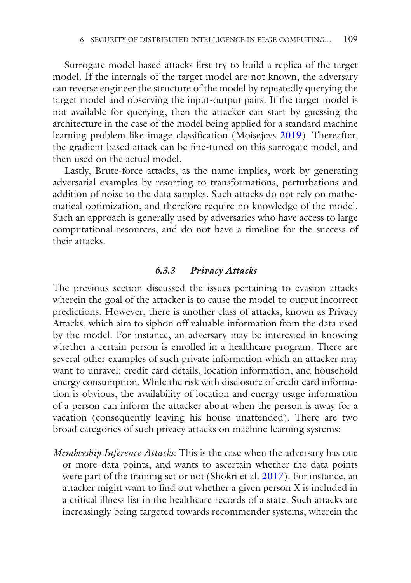Surrogate model based attacks first try to build a replica of the target model. If the internals of the target model are not known, the adversary can reverse engineer the structure of the model by repeatedly querying the target model and observing the input-output pairs. If the target model is not available for querying, then the attacker can start by guessing the architecture in the case of the model being applied for a standard machine learning problem like image classification (Moisejevs [2019](#page-25-6)). Thereafter, the gradient based attack can be fine-tuned on this surrogate model, and then used on the actual model.

Lastly, Brute-force attacks, as the name implies, work by generating adversarial examples by resorting to transformations, perturbations and addition of noise to the data samples. Such attacks do not rely on mathematical optimization, and therefore require no knowledge of the model. Such an approach is generally used by adversaries who have access to large computational resources, and do not have a timeline for the success of their attacks.

#### *6.3.3 Privacy Attacks*

The previous section discussed the issues pertaining to evasion attacks wherein the goal of the attacker is to cause the model to output incorrect predictions. However, there is another class of attacks, known as Privacy Attacks, which aim to siphon off valuable information from the data used by the model. For instance, an adversary may be interested in knowing whether a certain person is enrolled in a healthcare program. There are several other examples of such private information which an attacker may want to unravel: credit card details, location information, and household energy consumption. While the risk with disclosure of credit card information is obvious, the availability of location and energy usage information of a person can inform the attacker about when the person is away for a vacation (consequently leaving his house unattended). There are two broad categories of such privacy attacks on machine learning systems:

*Membership Inference Attacks*: This is the case when the adversary has one or more data points, and wants to ascertain whether the data points were part of the training set or not (Shokri et al. [2017\)](#page-26-7). For instance, an attacker might want to find out whether a given person X is included in a critical illness list in the healthcare records of a state. Such attacks are increasingly being targeted towards recommender systems, wherein the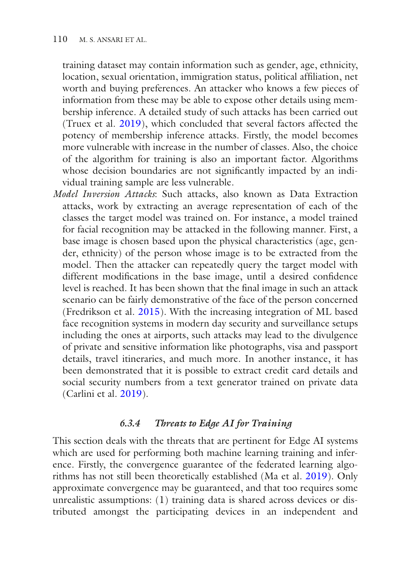training dataset may contain information such as gender, age, ethnicity, location, sexual orientation, immigration status, political affiliation, net worth and buying preferences. An attacker who knows a few pieces of information from these may be able to expose other details using membership inference. A detailed study of such attacks has been carried out (Truex et al. [2019](#page-27-7)), which concluded that several factors affected the potency of membership inference attacks. Firstly, the model becomes more vulnerable with increase in the number of classes. Also, the choice of the algorithm for training is also an important factor. Algorithms whose decision boundaries are not significantly impacted by an individual training sample are less vulnerable.

*Model Inversion Attacks*: Such attacks, also known as Data Extraction attacks, work by extracting an average representation of each of the classes the target model was trained on. For instance, a model trained for facial recognition may be attacked in the following manner. First, a base image is chosen based upon the physical characteristics (age, gender, ethnicity) of the person whose image is to be extracted from the model. Then the attacker can repeatedly query the target model with different modifications in the base image, until a desired confidence level is reached. It has been shown that the final image in such an attack scenario can be fairly demonstrative of the face of the person concerned (Fredrikson et al. [2015](#page-24-7)). With the increasing integration of ML based face recognition systems in modern day security and surveillance setups including the ones at airports, such attacks may lead to the divulgence of private and sensitive information like photographs, visa and passport details, travel itineraries, and much more. In another instance, it has been demonstrated that it is possible to extract credit card details and social security numbers from a text generator trained on private data (Carlini et al. [2019](#page-22-8)).

## *6.3.4 Threats to Edge AI for Training*

This section deals with the threats that are pertinent for Edge AI systems which are used for performing both machine learning training and inference. Firstly, the convergence guarantee of the federated learning algorithms has not still been theoretically established (Ma et al. [2019](#page-25-8)). Only approximate convergence may be guaranteed, and that too requires some unrealistic assumptions: (1) training data is shared across devices or distributed amongst the participating devices in an independent and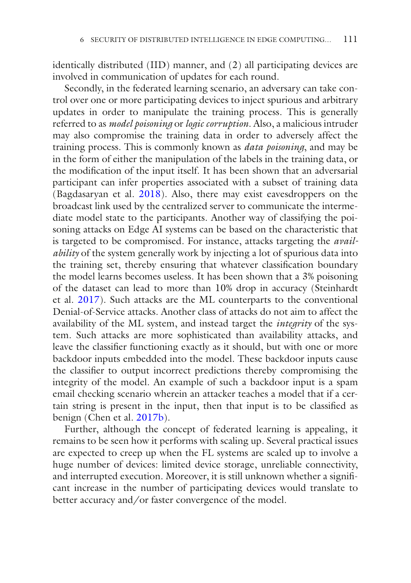identically distributed (IID) manner, and (2) all participating devices are involved in communication of updates for each round.

Secondly, in the federated learning scenario, an adversary can take control over one or more participating devices to inject spurious and arbitrary updates in order to manipulate the training process. This is generally referred to as *model poisoning* or *logic corruption*. Also, a malicious intruder may also compromise the training data in order to adversely affect the training process. This is commonly known as *data poisoning*, and may be in the form of either the manipulation of the labels in the training data, or the modification of the input itself. It has been shown that an adversarial participant can infer properties associated with a subset of training data (Bagdasaryan et al. [2018](#page-22-9)). Also, there may exist eavesdroppers on the broadcast link used by the centralized server to communicate the intermediate model state to the participants. Another way of classifying the poisoning attacks on Edge AI systems can be based on the characteristic that is targeted to be compromised. For instance, attacks targeting the *availability* of the system generally work by injecting a lot of spurious data into the training set, thereby ensuring that whatever classification boundary the model learns becomes useless. It has been shown that a 3% poisoning of the dataset can lead to more than 10% drop in accuracy (Steinhardt et al. [2017\)](#page-26-8). Such attacks are the ML counterparts to the conventional Denial-of-Service attacks. Another class of attacks do not aim to affect the availability of the ML system, and instead target the *integrity* of the system. Such attacks are more sophisticated than availability attacks, and leave the classifier functioning exactly as it should, but with one or more backdoor inputs embedded into the model. These backdoor inputs cause the classifier to output incorrect predictions thereby compromising the integrity of the model. An example of such a backdoor input is a spam email checking scenario wherein an attacker teaches a model that if a certain string is present in the input, then that input is to be classified as benign (Chen et al. [2017b](#page-23-11)).

Further, although the concept of federated learning is appealing, it remains to be seen how it performs with scaling up. Several practical issues are expected to creep up when the FL systems are scaled up to involve a huge number of devices: limited device storage, unreliable connectivity, and interrupted execution. Moreover, it is still unknown whether a significant increase in the number of participating devices would translate to better accuracy and/or faster convergence of the model.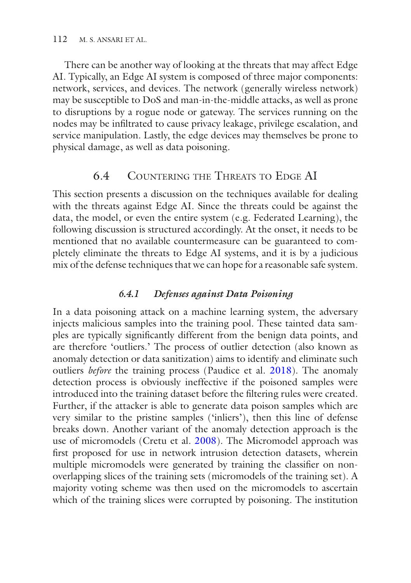There can be another way of looking at the threats that may affect Edge AI. Typically, an Edge AI system is composed of three major components: network, services, and devices. The network (generally wireless network) may be susceptible to DoS and man-in-the-middle attacks, as well as prone to disruptions by a rogue node or gateway. The services running on the nodes may be infiltrated to cause privacy leakage, privilege escalation, and service manipulation. Lastly, the edge devices may themselves be prone to physical damage, as well as data poisoning.

# <span id="page-17-0"></span>6.4 Countering the Threats to Edge AI

This section presents a discussion on the techniques available for dealing with the threats against Edge AI. Since the threats could be against the data, the model, or even the entire system (e.g. Federated Learning), the following discussion is structured accordingly. At the onset, it needs to be mentioned that no available countermeasure can be guaranteed to completely eliminate the threats to Edge AI systems, and it is by a judicious mix of the defense techniques that we can hope for a reasonable safe system.

## *6.4.1 Defenses against Data Poisoning*

In a data poisoning attack on a machine learning system, the adversary injects malicious samples into the training pool. These tainted data samples are typically significantly different from the benign data points, and are therefore 'outliers.' The process of outlier detection (also known as anomaly detection or data sanitization) aims to identify and eliminate such outliers *before* the training process (Paudice et al. [2018\)](#page-26-9). The anomaly detection process is obviously ineffective if the poisoned samples were introduced into the training dataset before the filtering rules were created. Further, if the attacker is able to generate data poison samples which are very similar to the pristine samples ('inliers'), then this line of defense breaks down. Another variant of the anomaly detection approach is the use of micromodels (Cretu et al. [2008](#page-23-12)). The Micromodel approach was first proposed for use in network intrusion detection datasets, wherein multiple micromodels were generated by training the classifier on nonoverlapping slices of the training sets (micromodels of the training set). A majority voting scheme was then used on the micromodels to ascertain which of the training slices were corrupted by poisoning. The institution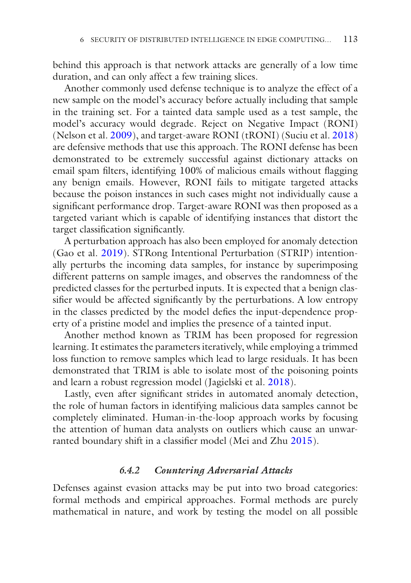behind this approach is that network attacks are generally of a low time duration, and can only affect a few training slices.

Another commonly used defense technique is to analyze the effect of a new sample on the model's accuracy before actually including that sample in the training set. For a tainted data sample used as a test sample, the model's accuracy would degrade. Reject on Negative Impact (RONI) (Nelson et al. [2009\)](#page-25-9), and target-aware RONI (tRONI) (Suciu et al. [2018\)](#page-26-10) are defensive methods that use this approach. The RONI defense has been demonstrated to be extremely successful against dictionary attacks on email spam filters, identifying 100% of malicious emails without flagging any benign emails. However, RONI fails to mitigate targeted attacks because the poison instances in such cases might not individually cause a significant performance drop. Target-aware RONI was then proposed as a targeted variant which is capable of identifying instances that distort the target classification significantly.

A perturbation approach has also been employed for anomaly detection (Gao et al. [2019\)](#page-24-8). STRong Intentional Perturbation (STRIP) intentionally perturbs the incoming data samples, for instance by superimposing different patterns on sample images, and observes the randomness of the predicted classes for the perturbed inputs. It is expected that a benign classifier would be affected significantly by the perturbations. A low entropy in the classes predicted by the model defies the input-dependence property of a pristine model and implies the presence of a tainted input.

Another method known as TRIM has been proposed for regression learning. It estimates the parameters iteratively, while employing a trimmed loss function to remove samples which lead to large residuals. It has been demonstrated that TRIM is able to isolate most of the poisoning points and learn a robust regression model (Jagielski et al. [2018](#page-24-9)).

Lastly, even after significant strides in automated anomaly detection, the role of human factors in identifying malicious data samples cannot be completely eliminated. Human-in-the-loop approach works by focusing the attention of human data analysts on outliers which cause an unwarranted boundary shift in a classifier model (Mei and Zhu [2015](#page-25-10)).

#### *6.4.2 Countering Adversarial Attacks*

Defenses against evasion attacks may be put into two broad categories: formal methods and empirical approaches. Formal methods are purely mathematical in nature, and work by testing the model on all possible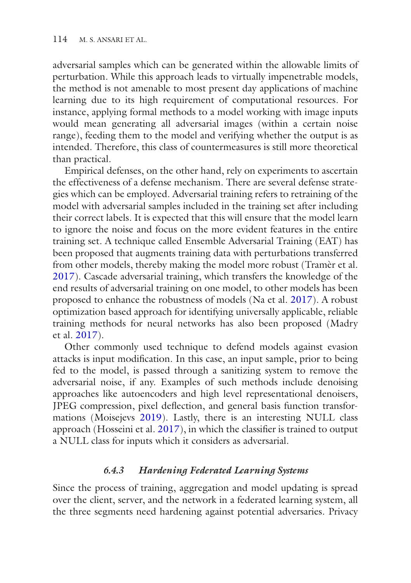adversarial samples which can be generated within the allowable limits of perturbation. While this approach leads to virtually impenetrable models, the method is not amenable to most present day applications of machine learning due to its high requirement of computational resources. For instance, applying formal methods to a model working with image inputs would mean generating all adversarial images (within a certain noise range), feeding them to the model and verifying whether the output is as intended. Therefore, this class of countermeasures is still more theoretical than practical.

Empirical defenses, on the other hand, rely on experiments to ascertain the effectiveness of a defense mechanism. There are several defense strategies which can be employed. Adversarial training refers to retraining of the model with adversarial samples included in the training set after including their correct labels. It is expected that this will ensure that the model learn to ignore the noise and focus on the more evident features in the entire training set. A technique called Ensemble Adversarial Training (EAT) has been proposed that augments training data with perturbations transferred from other models, thereby making the model more robust (Tramèr et al. [2017](#page-26-11)). Cascade adversarial training, which transfers the knowledge of the end results of adversarial training on one model, to other models has been proposed to enhance the robustness of models (Na et al. [2017](#page-25-11)). A robust optimization based approach for identifying universally applicable, reliable training methods for neural networks has also been proposed (Madry et al. [2017\)](#page-25-7).

Other commonly used technique to defend models against evasion attacks is input modification. In this case, an input sample, prior to being fed to the model, is passed through a sanitizing system to remove the adversarial noise, if any. Examples of such methods include denoising approaches like autoencoders and high level representational denoisers, JPEG compression, pixel deflection, and general basis function transformations (Moisejevs [2019](#page-25-6)). Lastly, there is an interesting NULL class approach (Hosseini et al. [2017\)](#page-24-10), in which the classifier is trained to output a NULL class for inputs which it considers as adversarial.

# *6.4.3 Hardening Federated Learning Systems*

Since the process of training, aggregation and model updating is spread over the client, server, and the network in a federated learning system, all the three segments need hardening against potential adversaries. Privacy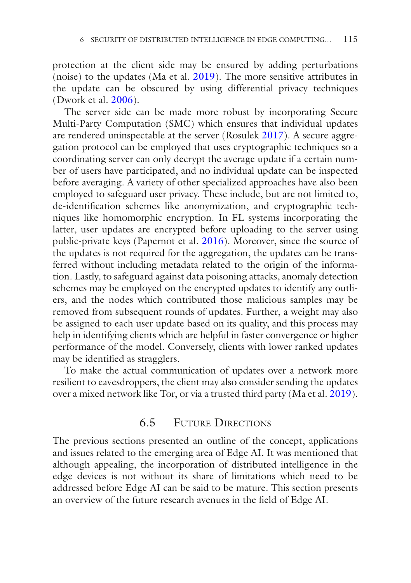protection at the client side may be ensured by adding perturbations (noise) to the updates (Ma et al. [2019\)](#page-25-8). The more sensitive attributes in the update can be obscured by using differential privacy techniques (Dwork et al. [2006\)](#page-24-11).

The server side can be made more robust by incorporating Secure Multi-Party Computation (SMC) which ensures that individual updates are rendered uninspectable at the server (Rosulek [2017\)](#page-26-12). A secure aggregation protocol can be employed that uses cryptographic techniques so a coordinating server can only decrypt the average update if a certain number of users have participated, and no individual update can be inspected before averaging. A variety of other specialized approaches have also been employed to safeguard user privacy. These include, but are not limited to, de-identification schemes like anonymization, and cryptographic techniques like homomorphic encryption. In FL systems incorporating the latter, user updates are encrypted before uploading to the server using public-private keys (Papernot et al. [2016\)](#page-25-12). Moreover, since the source of the updates is not required for the aggregation, the updates can be transferred without including metadata related to the origin of the information. Lastly, to safeguard against data poisoning attacks, anomaly detection schemes may be employed on the encrypted updates to identify any outliers, and the nodes which contributed those malicious samples may be removed from subsequent rounds of updates. Further, a weight may also be assigned to each user update based on its quality, and this process may help in identifying clients which are helpful in faster convergence or higher performance of the model. Conversely, clients with lower ranked updates may be identified as stragglers.

To make the actual communication of updates over a network more resilient to eavesdroppers, the client may also consider sending the updates over a mixed network like Tor, or via a trusted third party (Ma et al. [2019](#page-25-8)).

## <span id="page-20-0"></span>6.5 Future Directions

The previous sections presented an outline of the concept, applications and issues related to the emerging area of Edge AI. It was mentioned that although appealing, the incorporation of distributed intelligence in the edge devices is not without its share of limitations which need to be addressed before Edge AI can be said to be mature. This section presents an overview of the future research avenues in the field of Edge AI.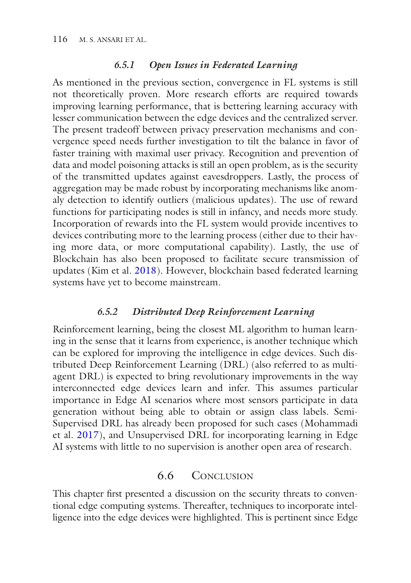#### *6.5.1 Open Issues in Federated Learning*

As mentioned in the previous section, convergence in FL systems is still not theoretically proven. More research efforts are required towards improving learning performance, that is bettering learning accuracy with lesser communication between the edge devices and the centralized server. The present tradeoff between privacy preservation mechanisms and convergence speed needs further investigation to tilt the balance in favor of faster training with maximal user privacy. Recognition and prevention of data and model poisoning attacks is still an open problem, as is the security of the transmitted updates against eavesdroppers. Lastly, the process of aggregation may be made robust by incorporating mechanisms like anomaly detection to identify outliers (malicious updates). The use of reward functions for participating nodes is still in infancy, and needs more study. Incorporation of rewards into the FL system would provide incentives to devices contributing more to the learning process (either due to their having more data, or more computational capability). Lastly, the use of Blockchain has also been proposed to facilitate secure transmission of updates (Kim et al. [2018\)](#page-24-12). However, blockchain based federated learning systems have yet to become mainstream.

#### *6.5.2 Distributed Deep Reinforcement Learning*

Reinforcement learning, being the closest ML algorithm to human learning in the sense that it learns from experience, is another technique which can be explored for improving the intelligence in edge devices. Such distributed Deep Reinforcement Learning (DRL) (also referred to as multiagent DRL) is expected to bring revolutionary improvements in the way interconnected edge devices learn and infer. This assumes particular importance in Edge AI scenarios where most sensors participate in data generation without being able to obtain or assign class labels. Semi-Supervised DRL has already been proposed for such cases (Mohammadi et al. [2017\)](#page-25-13), and Unsupervised DRL for incorporating learning in Edge AI systems with little to no supervision is another open area of research.

## <span id="page-21-0"></span>6.6 Conclusion

This chapter first presented a discussion on the security threats to conventional edge computing systems. Thereafter, techniques to incorporate intelligence into the edge devices were highlighted. This is pertinent since Edge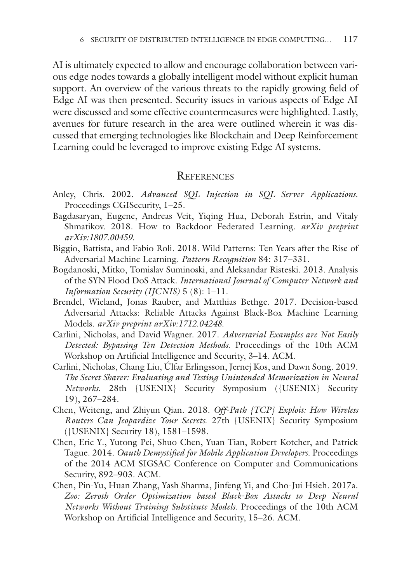AI is ultimately expected to allow and encourage collaboration between various edge nodes towards a globally intelligent model without explicit human support. An overview of the various threats to the rapidly growing field of Edge AI was then presented. Security issues in various aspects of Edge AI were discussed and some effective countermeasures were highlighted. Lastly, avenues for future research in the area were outlined wherein it was discussed that emerging technologies like Blockchain and Deep Reinforcement Learning could be leveraged to improve existing Edge AI systems.

## **REFERENCES**

- <span id="page-22-2"></span>Anley, Chris. 2002. *Advanced SQL Injection in SQL Server Applications*. Proceedings CGISecurity, 1–25.
- <span id="page-22-9"></span>Bagdasaryan, Eugene, Andreas Veit, Yiqing Hua, Deborah Estrin, and Vitaly Shmatikov. 2018. How to Backdoor Federated Learning. *arXiv preprint arXiv:1807.00459*.
- <span id="page-22-4"></span>Biggio, Battista, and Fabio Roli. 2018. Wild Patterns: Ten Years after the Rise of Adversarial Machine Learning. *Pattern Recognition* 84: 317–331.
- <span id="page-22-0"></span>Bogdanoski, Mitko, Tomislav Suminoski, and Aleksandar Risteski. 2013. Analysis of the SYN Flood DoS Attack. *International Journal of Computer Network and Information Security (IJCNIS)* 5 (8): 1–11.
- <span id="page-22-7"></span>Brendel, Wieland, Jonas Rauber, and Matthias Bethge. 2017. Decision-based Adversarial Attacks: Reliable Attacks Against Black-Box Machine Learning Models. *arXiv preprint arXiv:1712.04248*.
- <span id="page-22-5"></span>Carlini, Nicholas, and David Wagner. 2017. *Adversarial Examples are Not Easily Detected: Bypassing Ten Detection Methods*. Proceedings of the 10th ACM Workshop on Artificial Intelligence and Security, 3–14. ACM.
- <span id="page-22-8"></span>Carlini, Nicholas, Chang Liu, Úlfar Erlingsson, Jernej Kos, and Dawn Song. 2019. *The Secret Sharer: Evaluating and Testing Unintended Memorization in Neural Networks*. 28th {USENIX} Security Symposium ({USENIX} Security 19), 267–284.
- <span id="page-22-1"></span>Chen, Weiteng, and Zhiyun Qian. 2018. *Off-Path {TCP} Exploit: How Wireless Routers Can Jeopardize Your Secrets*. 27th {USENIX} Security Symposium ({USENIX} Security 18), 1581–1598.
- <span id="page-22-3"></span>Chen, Eric Y., Yutong Pei, Shuo Chen, Yuan Tian, Robert Kotcher, and Patrick Tague. 2014. *Oauth Demystified for Mobile Application Developers*. Proceedings of the 2014 ACM SIGSAC Conference on Computer and Communications Security, 892–903. ACM.
- <span id="page-22-6"></span>Chen, Pin-Yu, Huan Zhang, Yash Sharma, Jinfeng Yi, and Cho-Jui Hsieh. 2017a. *Zoo: Zeroth Order Optimization based Black-Box Attacks to Deep Neural Networks Without Training Substitute Models*. Proceedings of the 10th ACM Workshop on Artificial Intelligence and Security, 15–26. ACM.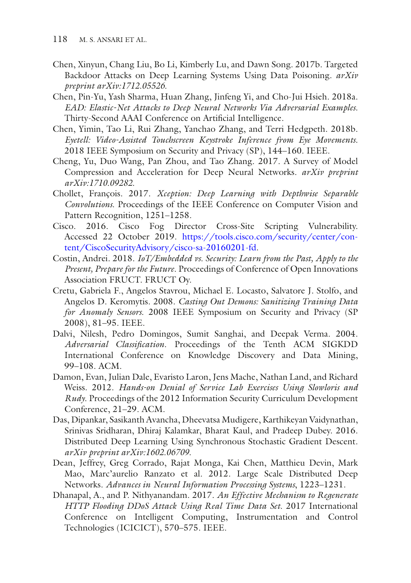- <span id="page-23-11"></span>Chen, Xinyun, Chang Liu, Bo Li, Kimberly Lu, and Dawn Song. 2017b. Targeted Backdoor Attacks on Deep Learning Systems Using Data Poisoning. *arXiv preprint arXiv:1712.05526*.
- <span id="page-23-10"></span>Chen, Pin-Yu, Yash Sharma, Huan Zhang, Jinfeng Yi, and Cho-Jui Hsieh. 2018a. *EAD: Elastic-Net Attacks to Deep Neural Networks Via Adversarial Examples*. Thirty-Second AAAI Conference on Artificial Intelligence.
- <span id="page-23-2"></span>Chen, Yimin, Tao Li, Rui Zhang, Yanchao Zhang, and Terri Hedgpeth. 2018b. *Eyetell: Video-Assisted Touchscreen Keystroke Inference from Eye Movements*. 2018 IEEE Symposium on Security and Privacy (SP), 144–160. IEEE.
- <span id="page-23-8"></span>Cheng, Yu, Duo Wang, Pan Zhou, and Tao Zhang. 2017. A Survey of Model Compression and Acceleration for Deep Neural Networks. *arXiv preprint arXiv:1710.09282*.
- <span id="page-23-5"></span>Chollet, François. 2017. *Xception: Deep Learning with Depthwise Separable Convolutions*. Proceedings of the IEEE Conference on Computer Vision and Pattern Recognition, 1251–1258.
- <span id="page-23-3"></span>Cisco. 2016. Cisco Fog Director Cross-Site Scripting Vulnerability. Accessed 22 October 2019. [https://tools.cisco.com/security/center/con](https://tools.cisco.com/security/center/content/CiscoSecurityAdvisory/cisco-sa-20160201-fd)[tent/CiscoSecurityAdvisory/cisco-sa-20160201-fd.](https://tools.cisco.com/security/center/content/CiscoSecurityAdvisory/cisco-sa-20160201-fd)
- <span id="page-23-4"></span>Costin, Andrei. 2018. *IoT/Embedded vs. Security: Learn from the Past, Apply to the Present, Prepare for the Future*. Proceedings of Conference of Open Innovations Association FRUCT. FRUCT Oy.
- <span id="page-23-12"></span>Cretu, Gabriela F., Angelos Stavrou, Michael E. Locasto, Salvatore J. Stolfo, and Angelos D. Keromytis. 2008. *Casting Out Demons: Sanitizing Training Data for Anomaly Sensors*. 2008 IEEE Symposium on Security and Privacy (SP 2008), 81–95. IEEE.
- <span id="page-23-9"></span>Dalvi, Nilesh, Pedro Domingos, Sumit Sanghai, and Deepak Verma. 2004. *Adversarial Classification*. Proceedings of the Tenth ACM SIGKDD International Conference on Knowledge Discovery and Data Mining, 99–108. ACM.
- <span id="page-23-1"></span>Damon, Evan, Julian Dale, Evaristo Laron, Jens Mache, Nathan Land, and Richard Weiss. 2012. *Hands-on Denial of Service Lab Exercises Using Slowloris and Rudy*. Proceedings of the 2012 Information Security Curriculum Development Conference, 21–29. ACM.
- <span id="page-23-6"></span>Das, Dipankar, Sasikanth Avancha, Dheevatsa Mudigere, Karthikeyan Vaidynathan, Srinivas Sridharan, Dhiraj Kalamkar, Bharat Kaul, and Pradeep Dubey. 2016. Distributed Deep Learning Using Synchronous Stochastic Gradient Descent. *arXiv preprint arXiv:1602.06709*.
- <span id="page-23-7"></span>Dean, Jeffrey, Greg Corrado, Rajat Monga, Kai Chen, Matthieu Devin, Mark Mao, Marc'aurelio Ranzato et al. 2012. Large Scale Distributed Deep Networks. *Advances in Neural Information Processing Systems*, 1223–1231.
- <span id="page-23-0"></span>Dhanapal, A., and P. Nithyanandam. 2017. *An Effective Mechanism to Regenerate HTTP Flooding DDoS Attack Using Real Time Data Set*. 2017 International Conference on Intelligent Computing, Instrumentation and Control Technologies (ICICICT), 570–575. IEEE.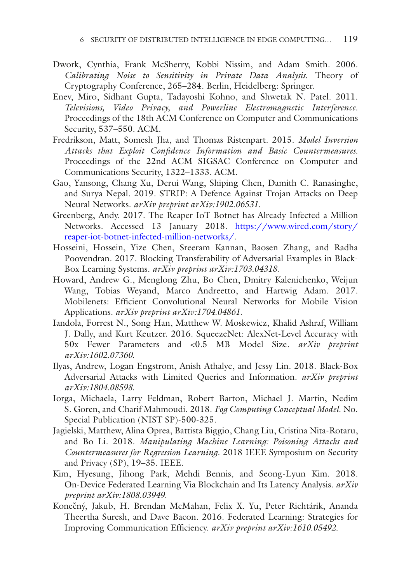- <span id="page-24-11"></span>Dwork, Cynthia, Frank McSherry, Kobbi Nissim, and Adam Smith. 2006. *Calibrating Noise to Sensitivity in Private Data Analysis*. Theory of Cryptography Conference, 265–284. Berlin, Heidelberg: Springer.
- <span id="page-24-1"></span>Enev, Miro, Sidhant Gupta, Tadayoshi Kohno, and Shwetak N. Patel. 2011. *Televisions, Video Privacy, and Powerline Electromagnetic Interference*. Proceedings of the 18th ACM Conference on Computer and Communications Security, 537–550. ACM.
- <span id="page-24-7"></span>Fredrikson, Matt, Somesh Jha, and Thomas Ristenpart. 2015. *Model Inversion Attacks that Exploit Confidence Information and Basic Countermeasures*. Proceedings of the 22nd ACM SIGSAC Conference on Computer and Communications Security, 1322–1333. ACM.
- <span id="page-24-8"></span>Gao, Yansong, Chang Xu, Derui Wang, Shiping Chen, Damith C. Ranasinghe, and Surya Nepal. 2019. STRIP: A Defence Against Trojan Attacks on Deep Neural Networks. *arXiv preprint arXiv:1902.06531*.
- <span id="page-24-2"></span>Greenberg, Andy. 2017. The Reaper IoT Botnet has Already Infected a Million Networks. Accessed 13 January 2018. [https://www.wired.com/story/](https://www.wired.com/story/reaper-iot-botnet-infected-million-networks/) [reaper-iot-botnet-infected-million-networks/](https://www.wired.com/story/reaper-iot-botnet-infected-million-networks/).
- <span id="page-24-10"></span>Hosseini, Hossein, Yize Chen, Sreeram Kannan, Baosen Zhang, and Radha Poovendran. 2017. Blocking Transferability of Adversarial Examples in Black-Box Learning Systems. *arXiv preprint arXiv:1703.04318*.
- <span id="page-24-3"></span>Howard, Andrew G., Menglong Zhu, Bo Chen, Dmitry Kalenichenko, Weijun Wang, Tobias Weyand, Marco Andreetto, and Hartwig Adam. 2017. Mobilenets: Efficient Convolutional Neural Networks for Mobile Vision Applications. *arXiv preprint arXiv:1704.04861*.
- <span id="page-24-4"></span>Iandola, Forrest N., Song Han, Matthew W. Moskewicz, Khalid Ashraf, William J. Dally, and Kurt Keutzer. 2016. SqueezeNet: AlexNet-Level Accuracy with 50x Fewer Parameters and <0.5 MB Model Size. *arXiv preprint arXiv:1602.07360*.
- <span id="page-24-6"></span>Ilyas, Andrew, Logan Engstrom, Anish Athalye, and Jessy Lin. 2018. Black-Box Adversarial Attacks with Limited Queries and Information. *arXiv preprint arXiv:1804.08598*.
- <span id="page-24-0"></span>Iorga, Michaela, Larry Feldman, Robert Barton, Michael J. Martin, Nedim S. Goren, and Charif Mahmoudi. 2018. *Fog Computing Conceptual Model*. No. Special Publication (NIST SP)-500-325.
- <span id="page-24-9"></span>Jagielski, Matthew, Alina Oprea, Battista Biggio, Chang Liu, Cristina Nita-Rotaru, and Bo Li. 2018. *Manipulating Machine Learning: Poisoning Attacks and Countermeasures for Regression Learning*. 2018 IEEE Symposium on Security and Privacy (SP), 19–35. IEEE.
- <span id="page-24-12"></span>Kim, Hyesung, Jihong Park, Mehdi Bennis, and Seong-Lyun Kim. 2018. On-Device Federated Learning Via Blockchain and Its Latency Analysis. *arXiv preprint arXiv:1808.03949*.
- <span id="page-24-5"></span>Konečný, Jakub, H. Brendan McMahan, Felix X. Yu, Peter Richtárik, Ananda Theertha Suresh, and Dave Bacon. 2016. Federated Learning: Strategies for Improving Communication Efficiency. *arXiv preprint arXiv:1610.05492*.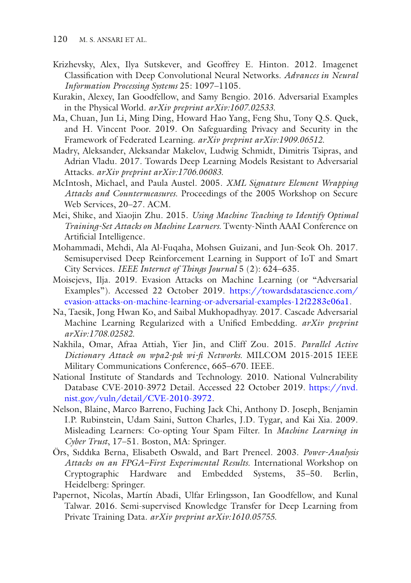- <span id="page-25-4"></span>Krizhevsky, Alex, Ilya Sutskever, and Geoffrey E. Hinton. 2012. Imagenet Classification with Deep Convolutional Neural Networks. *Advances in Neural Information Processing Systems* 25: 1097–1105.
- <span id="page-25-5"></span>Kurakin, Alexey, Ian Goodfellow, and Samy Bengio. 2016. Adversarial Examples in the Physical World. *arXiv preprint arXiv:1607.02533*.
- <span id="page-25-8"></span>Ma, Chuan, Jun Li, Ming Ding, Howard Hao Yang, Feng Shu, Tony Q.S. Quek, and H. Vincent Poor. 2019. On Safeguarding Privacy and Security in the Framework of Federated Learning. *arXiv preprint arXiv:1909.06512*.
- <span id="page-25-7"></span>Madry, Aleksander, Aleksandar Makelov, Ludwig Schmidt, Dimitris Tsipras, and Adrian Vladu. 2017. Towards Deep Learning Models Resistant to Adversarial Attacks. *arXiv preprint arXiv:1706.06083*.
- <span id="page-25-2"></span>McIntosh, Michael, and Paula Austel. 2005. *XML Signature Element Wrapping Attacks and Countermeasures*. Proceedings of the 2005 Workshop on Secure Web Services, 20–27. ACM.
- <span id="page-25-10"></span>Mei, Shike, and Xiaojin Zhu. 2015. *Using Machine Teaching to Identify Optimal Training-Set Attacks on Machine Learners*. Twenty-Ninth AAAI Conference on Artificial Intelligence.
- <span id="page-25-13"></span>Mohammadi, Mehdi, Ala Al-Fuqaha, Mohsen Guizani, and Jun-Seok Oh. 2017. Semisupervised Deep Reinforcement Learning in Support of IoT and Smart City Services. *IEEE Internet of Things Journal* 5 (2): 624–635.
- <span id="page-25-6"></span>Moisejevs, Ilja. 2019. Evasion Attacks on Machine Learning (or "Adversarial Examples"). Accessed 22 October 2019. [https://towardsdatascience.com/](https://towardsdatascience.com/evasion-attacks-on-machine-learning-or-adversarial-examples-12f2283e06a1) [evasion-attacks-on-machine-learning-or-adversarial-examples-12f2283e06a1.](https://towardsdatascience.com/evasion-attacks-on-machine-learning-or-adversarial-examples-12f2283e06a1)
- <span id="page-25-11"></span>Na, Taesik, Jong Hwan Ko, and Saibal Mukhopadhyay. 2017. Cascade Adversarial Machine Learning Regularized with a Unified Embedding. *arXiv preprint arXiv:1708.02582*.
- <span id="page-25-3"></span>Nakhila, Omar, Afraa Attiah, Yier Jin, and Cliff Zou. 2015. *Parallel Active Dictionary Attack on wpa2-psk wi-fi Networks*. MILCOM 2015-2015 IEEE Military Communications Conference, 665–670. IEEE.
- <span id="page-25-0"></span>National Institute of Standards and Technology. 2010. National Vulnerability Database CVE-2010-3972 Detail. Accessed 22 October 2019. [https://nvd.](https://nvd.nist.gov/vuln/detail/CVE-2010-3972) [nist.gov/vuln/detail/CVE-2010-3972.](https://nvd.nist.gov/vuln/detail/CVE-2010-3972)
- <span id="page-25-9"></span>Nelson, Blaine, Marco Barreno, Fuching Jack Chi, Anthony D. Joseph, Benjamin I.P. Rubinstein, Udam Saini, Sutton Charles, J.D. Tygar, and Kai Xia. 2009. Misleading Learners: Co-opting Your Spam Filter. In *Machine Learning in Cyber Trust*, 17–51. Boston, MA: Springer.
- <span id="page-25-1"></span>Örs, Sıddıka Berna, Elisabeth Oswald, and Bart Preneel. 2003. *Power-Analysis Attacks on an FPGA–First Experimental Results*. International Workshop on Cryptographic Hardware and Embedded Systems, 35–50. Berlin, Heidelberg: Springer.
- <span id="page-25-12"></span>Papernot, Nicolas, Martín Abadi, Ulfar Erlingsson, Ian Goodfellow, and Kunal Talwar. 2016. Semi-supervised Knowledge Transfer for Deep Learning from Private Training Data. *arXiv preprint arXiv:1610.05755*.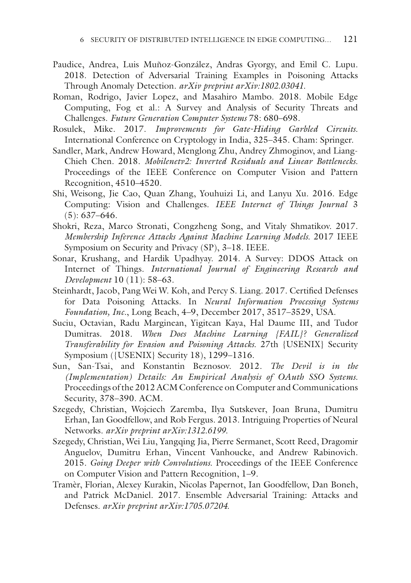- <span id="page-26-9"></span>Paudice, Andrea, Luis Muñoz-González, Andras Gyorgy, and Emil C. Lupu. 2018. Detection of Adversarial Training Examples in Poisoning Attacks Through Anomaly Detection. *arXiv preprint arXiv:1802.03041*.
- <span id="page-26-5"></span>Roman, Rodrigo, Javier Lopez, and Masahiro Mambo. 2018. Mobile Edge Computing, Fog et al.: A Survey and Analysis of Security Threats and Challenges. *Future Generation Computer Systems* 78: 680–698.
- <span id="page-26-12"></span>Rosulek, Mike. 2017. *Improvements for Gate-Hiding Garbled Circuits*. International Conference on Cryptology in India, 325–345. Cham: Springer.
- <span id="page-26-4"></span>Sandler, Mark, Andrew Howard, Menglong Zhu, Andrey Zhmoginov, and Liang-Chieh Chen. 2018. *Mobilenetv2: Inverted Residuals and Linear Bottlenecks*. Proceedings of the IEEE Conference on Computer Vision and Pattern Recognition, 4510–4520.
- <span id="page-26-0"></span>Shi, Weisong, Jie Cao, Quan Zhang, Youhuizi Li, and Lanyu Xu. 2016. Edge Computing: Vision and Challenges. *IEEE Internet of Things Journal* 3 (5): 637–646.
- <span id="page-26-7"></span>Shokri, Reza, Marco Stronati, Congzheng Song, and Vitaly Shmatikov. 2017. *Membership Inference Attacks Against Machine Learning Models*. 2017 IEEE Symposium on Security and Privacy (SP), 3–18. IEEE.
- <span id="page-26-1"></span>Sonar, Krushang, and Hardik Upadhyay. 2014. A Survey: DDOS Attack on Internet of Things. *International Journal of Engineering Research and Development* 10 (11): 58–63.
- <span id="page-26-8"></span>Steinhardt, Jacob, Pang Wei W. Koh, and Percy S. Liang. 2017. Certified Defenses for Data Poisoning Attacks. In *Neural Information Processing Systems Foundation, Inc.*, Long Beach, 4–9, December 2017, 3517–3529, USA.
- <span id="page-26-10"></span>Suciu, Octavian, Radu Marginean, Yigitcan Kaya, Hal Daume III, and Tudor Dumitras. 2018. *When Does Machine Learning {FAIL}? Generalized Transferability for Evasion and Poisoning Attacks*. 27th {USENIX} Security Symposium ({USENIX} Security 18), 1299–1316.
- <span id="page-26-2"></span>Sun, San-Tsai, and Konstantin Beznosov. 2012. *The Devil is in the (Implementation) Details: An Empirical Analysis of OAuth SSO Systems*. Proceedings of the 2012 ACM Conference on Computer and Communications Security, 378–390. ACM.
- <span id="page-26-6"></span>Szegedy, Christian, Wojciech Zaremba, Ilya Sutskever, Joan Bruna, Dumitru Erhan, Ian Goodfellow, and Rob Fergus. 2013. Intriguing Properties of Neural Networks. *arXiv preprint arXiv:1312.6199*.
- <span id="page-26-3"></span>Szegedy, Christian, Wei Liu, Yangqing Jia, Pierre Sermanet, Scott Reed, Dragomir Anguelov, Dumitru Erhan, Vincent Vanhoucke, and Andrew Rabinovich. 2015. *Going Deeper with Convolutions*. Proceedings of the IEEE Conference on Computer Vision and Pattern Recognition, 1–9.
- <span id="page-26-11"></span>Tramèr, Florian, Alexey Kurakin, Nicolas Papernot, Ian Goodfellow, Dan Boneh, and Patrick McDaniel. 2017. Ensemble Adversarial Training: Attacks and Defenses. *arXiv preprint arXiv:1705.07204*.